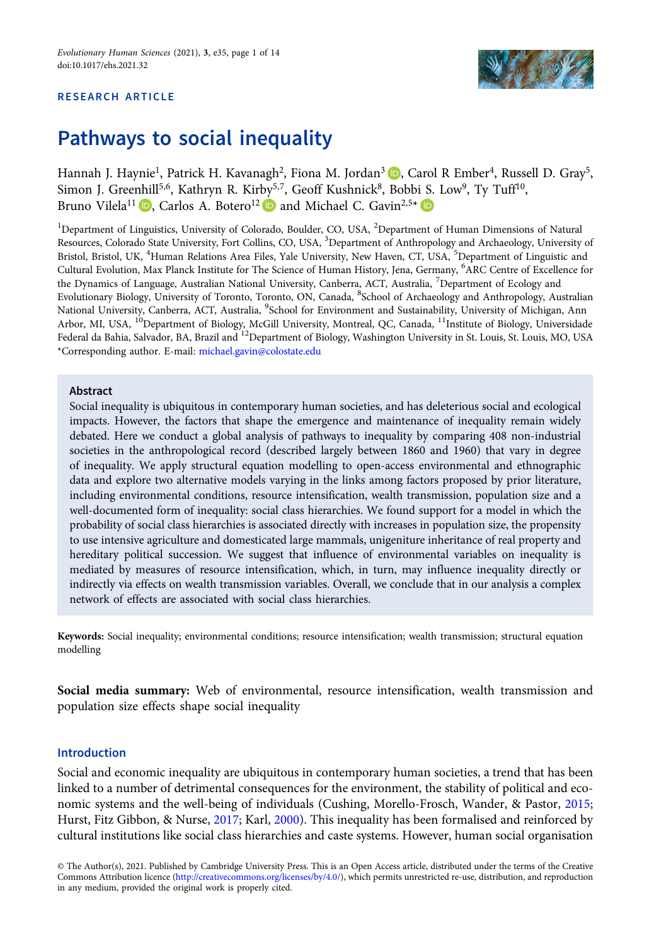## RESEARCH ARTICLE



# Pathways to social inequality

Hannah J. Haynie<sup>1</sup>[,](https://orcid.org/0000-0002-9953-8884) Patrick H. Kavanagh<sup>2</sup>, Fiona M. Jordan<sup>3</sup> **D**. Carol R Ember<sup>4</sup>, Russell D. Gray<sup>5</sup>, Simon J. Greenhill<sup>5,6</sup>, Kathryn R. Kirby<sup>5,7</sup>, Geoff Kushnick<sup>8</sup>, Bobbi S. Low<sup>9</sup>, Ty Tuff<sup>10</sup>, Bruno Vilela<sup>11</sup> **D**, Carlos A. Botero<sup>12</sup> **D** and Michael C. Gavin<sup>2,5\*</sup> **D** 

<sup>1</sup>Department of Linguistics, University of Colorado, Boulder, CO, USA, <sup>2</sup>Department of Human Dimensions of Natural Resources, Colorado State University, Fort Collins, CO, USA, <sup>3</sup>Department of Anthropology and Archaeology, University of Bristol, Bristol, UK, <sup>4</sup>Human Relations Area Files, Yale University, New Haven, CT, USA, <sup>5</sup>Department of Linguistic and Cultural Evolution, Max Planck Institute for The Science of Human History, Jena, Germany, <sup>6</sup> ARC Centre of Excellence for the Dynamics of Language, Australian National University, Canberra, ACT, Australia, <sup>7</sup>Department of Ecology and Evolutionary Biology, University of Toronto, Toronto, ON, Canada, <sup>8</sup>School of Archaeology and Anthropology, Australian National University, Canberra, ACT, Australia, <sup>9</sup>School for Environment and Sustainability, University of Michigan, Ann Arbor, MI, USA, <sup>10</sup>Department of Biology, McGill University, Montreal, QC, Canada, <sup>11</sup>Institute of Biology, Universidade Federal da Bahia, Salvador, BA, Brazil and <sup>12</sup>Department of Biology, Washington University in St. Louis, St. Louis, MO, USA \*Corresponding author. E-mail: [michael.gavin@colostate.edu](mailto:michael.gavin@colostate.edu)

## Abstract

Social inequality is ubiquitous in contemporary human societies, and has deleterious social and ecological impacts. However, the factors that shape the emergence and maintenance of inequality remain widely debated. Here we conduct a global analysis of pathways to inequality by comparing 408 non-industrial societies in the anthropological record (described largely between 1860 and 1960) that vary in degree of inequality. We apply structural equation modelling to open-access environmental and ethnographic data and explore two alternative models varying in the links among factors proposed by prior literature, including environmental conditions, resource intensification, wealth transmission, population size and a well-documented form of inequality: social class hierarchies. We found support for a model in which the probability of social class hierarchies is associated directly with increases in population size, the propensity to use intensive agriculture and domesticated large mammals, unigeniture inheritance of real property and hereditary political succession. We suggest that influence of environmental variables on inequality is mediated by measures of resource intensification, which, in turn, may influence inequality directly or indirectly via effects on wealth transmission variables. Overall, we conclude that in our analysis a complex network of effects are associated with social class hierarchies.

Keywords: Social inequality; environmental conditions; resource intensification; wealth transmission; structural equation modelling

Social media summary: Web of environmental, resource intensification, wealth transmission and population size effects shape social inequality

# Introduction

Social and economic inequality are ubiquitous in contemporary human societies, a trend that has been linked to a number of detrimental consequences for the environment, the stability of political and economic systems and the well-being of individuals (Cushing, Morello-Frosch, Wander, & Pastor, [2015](#page-12-0); Hurst, Fitz Gibbon, & Nurse, [2017;](#page-12-0) Karl, [2000\)](#page-13-0). This inequality has been formalised and reinforced by cultural institutions like social class hierarchies and caste systems. However, human social organisation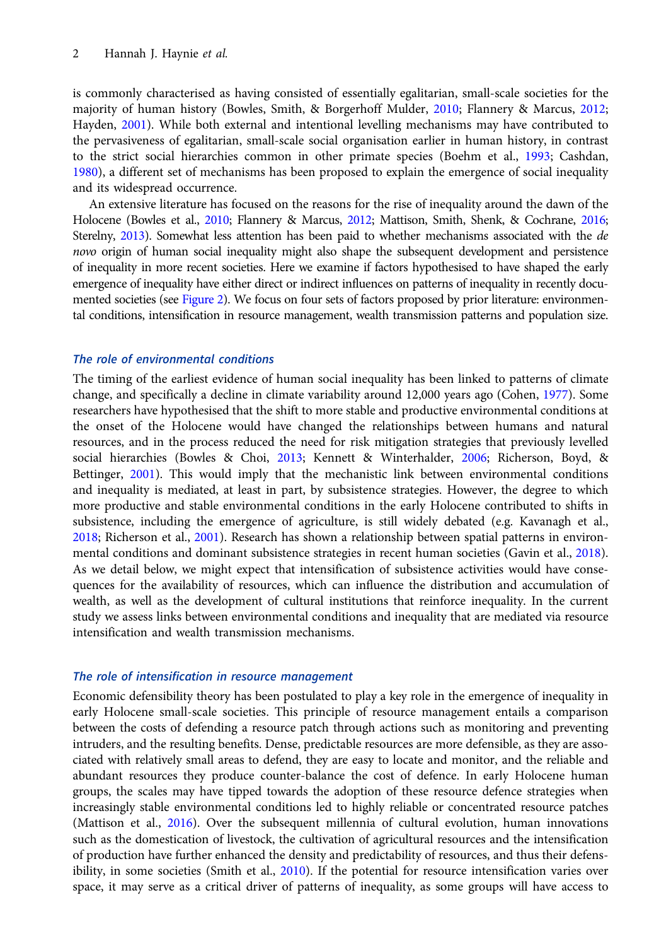is commonly characterised as having consisted of essentially egalitarian, small-scale societies for the majority of human history (Bowles, Smith, & Borgerhoff Mulder, [2010;](#page-12-0) Flannery & Marcus, [2012;](#page-12-0) Hayden, [2001\)](#page-12-0). While both external and intentional levelling mechanisms may have contributed to the pervasiveness of egalitarian, small-scale social organisation earlier in human history, in contrast to the strict social hierarchies common in other primate species (Boehm et al., [1993;](#page-12-0) Cashdan, [1980\)](#page-12-0), a different set of mechanisms has been proposed to explain the emergence of social inequality and its widespread occurrence.

An extensive literature has focused on the reasons for the rise of inequality around the dawn of the Holocene (Bowles et al., [2010;](#page-12-0) Flannery & Marcus, [2012](#page-12-0); Mattison, Smith, Shenk, & Cochrane, [2016;](#page-13-0) Sterelny, [2013](#page-13-0)). Somewhat less attention has been paid to whether mechanisms associated with the de novo origin of human social inequality might also shape the subsequent development and persistence of inequality in more recent societies. Here we examine if factors hypothesised to have shaped the early emergence of inequality have either direct or indirect influences on patterns of inequality in recently documented societies (see [Figure 2](#page-4-0)). We focus on four sets of factors proposed by prior literature: environmental conditions, intensification in resource management, wealth transmission patterns and population size.

## The role of environmental conditions

The timing of the earliest evidence of human social inequality has been linked to patterns of climate change, and specifically a decline in climate variability around 12,000 years ago (Cohen, [1977\)](#page-12-0). Some researchers have hypothesised that the shift to more stable and productive environmental conditions at the onset of the Holocene would have changed the relationships between humans and natural resources, and in the process reduced the need for risk mitigation strategies that previously levelled social hierarchies (Bowles & Choi, [2013](#page-12-0); Kennett & Winterhalder, [2006;](#page-13-0) Richerson, Boyd, & Bettinger, [2001](#page-13-0)). This would imply that the mechanistic link between environmental conditions and inequality is mediated, at least in part, by subsistence strategies. However, the degree to which more productive and stable environmental conditions in the early Holocene contributed to shifts in subsistence, including the emergence of agriculture, is still widely debated (e.g. Kavanagh et al., [2018;](#page-13-0) Richerson et al., [2001\)](#page-13-0). Research has shown a relationship between spatial patterns in environ-mental conditions and dominant subsistence strategies in recent human societies (Gavin et al., [2018](#page-12-0)). As we detail below, we might expect that intensification of subsistence activities would have consequences for the availability of resources, which can influence the distribution and accumulation of wealth, as well as the development of cultural institutions that reinforce inequality. In the current study we assess links between environmental conditions and inequality that are mediated via resource intensification and wealth transmission mechanisms.

#### The role of intensification in resource management

Economic defensibility theory has been postulated to play a key role in the emergence of inequality in early Holocene small-scale societies. This principle of resource management entails a comparison between the costs of defending a resource patch through actions such as monitoring and preventing intruders, and the resulting benefits. Dense, predictable resources are more defensible, as they are associated with relatively small areas to defend, they are easy to locate and monitor, and the reliable and abundant resources they produce counter-balance the cost of defence. In early Holocene human groups, the scales may have tipped towards the adoption of these resource defence strategies when increasingly stable environmental conditions led to highly reliable or concentrated resource patches (Mattison et al., [2016\)](#page-13-0). Over the subsequent millennia of cultural evolution, human innovations such as the domestication of livestock, the cultivation of agricultural resources and the intensification of production have further enhanced the density and predictability of resources, and thus their defens-ibility, in some societies (Smith et al., [2010](#page-13-0)). If the potential for resource intensification varies over space, it may serve as a critical driver of patterns of inequality, as some groups will have access to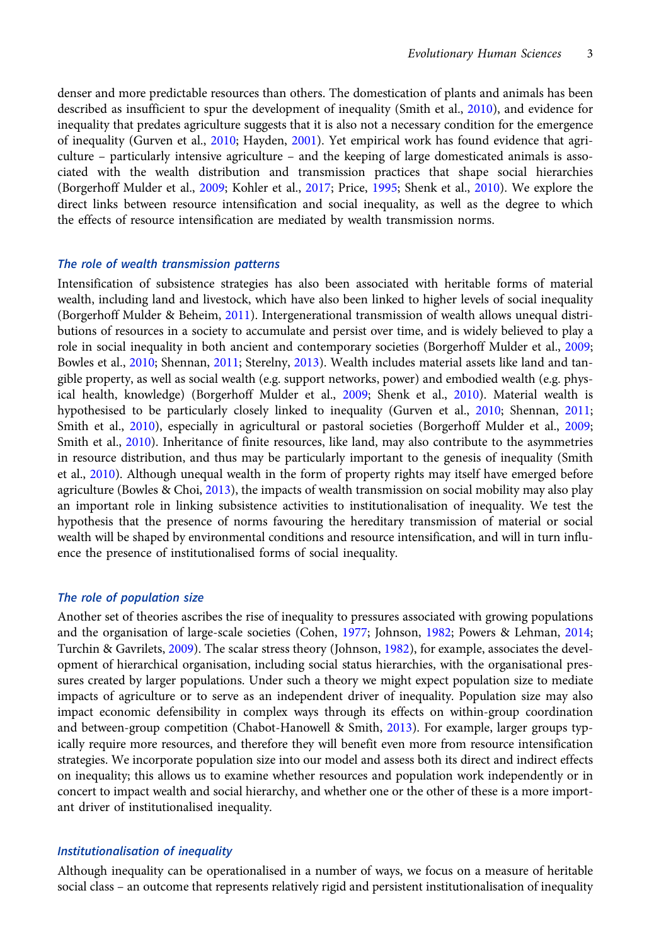denser and more predictable resources than others. The domestication of plants and animals has been described as insufficient to spur the development of inequality (Smith et al., [2010](#page-13-0)), and evidence for inequality that predates agriculture suggests that it is also not a necessary condition for the emergence of inequality (Gurven et al., [2010;](#page-12-0) Hayden, [2001\)](#page-12-0). Yet empirical work has found evidence that agriculture – particularly intensive agriculture – and the keeping of large domesticated animals is associated with the wealth distribution and transmission practices that shape social hierarchies (Borgerhoff Mulder et al., [2009;](#page-12-0) Kohler et al., [2017](#page-13-0); Price, [1995](#page-13-0); Shenk et al., [2010](#page-13-0)). We explore the direct links between resource intensification and social inequality, as well as the degree to which the effects of resource intensification are mediated by wealth transmission norms.

## The role of wealth transmission patterns

Intensification of subsistence strategies has also been associated with heritable forms of material wealth, including land and livestock, which have also been linked to higher levels of social inequality (Borgerhoff Mulder & Beheim, [2011](#page-12-0)). Intergenerational transmission of wealth allows unequal distributions of resources in a society to accumulate and persist over time, and is widely believed to play a role in social inequality in both ancient and contemporary societies (Borgerhoff Mulder et al., [2009](#page-12-0); Bowles et al., [2010;](#page-12-0) Shennan, [2011;](#page-13-0) Sterelny, [2013\)](#page-13-0). Wealth includes material assets like land and tangible property, as well as social wealth (e.g. support networks, power) and embodied wealth (e.g. physical health, knowledge) (Borgerhoff Mulder et al., [2009;](#page-12-0) Shenk et al., [2010\)](#page-13-0). Material wealth is hypothesised to be particularly closely linked to inequality (Gurven et al., [2010](#page-12-0); Shennan, [2011](#page-13-0); Smith et al., [2010\)](#page-13-0), especially in agricultural or pastoral societies (Borgerhoff Mulder et al., [2009](#page-12-0); Smith et al., [2010\)](#page-13-0). Inheritance of finite resources, like land, may also contribute to the asymmetries in resource distribution, and thus may be particularly important to the genesis of inequality (Smith et al., [2010](#page-13-0)). Although unequal wealth in the form of property rights may itself have emerged before agriculture (Bowles & Choi,  $2013$ ), the impacts of wealth transmission on social mobility may also play an important role in linking subsistence activities to institutionalisation of inequality. We test the hypothesis that the presence of norms favouring the hereditary transmission of material or social wealth will be shaped by environmental conditions and resource intensification, and will in turn influence the presence of institutionalised forms of social inequality.

# The role of population size

Another set of theories ascribes the rise of inequality to pressures associated with growing populations and the organisation of large-scale societies (Cohen, [1977](#page-12-0); Johnson, [1982](#page-12-0); Powers & Lehman, [2014](#page-13-0); Turchin & Gavrilets, [2009](#page-13-0)). The scalar stress theory (Johnson, [1982](#page-12-0)), for example, associates the development of hierarchical organisation, including social status hierarchies, with the organisational pressures created by larger populations. Under such a theory we might expect population size to mediate impacts of agriculture or to serve as an independent driver of inequality. Population size may also impact economic defensibility in complex ways through its effects on within-group coordination and between-group competition (Chabot-Hanowell & Smith, [2013](#page-12-0)). For example, larger groups typically require more resources, and therefore they will benefit even more from resource intensification strategies. We incorporate population size into our model and assess both its direct and indirect effects on inequality; this allows us to examine whether resources and population work independently or in concert to impact wealth and social hierarchy, and whether one or the other of these is a more important driver of institutionalised inequality.

## Institutionalisation of inequality

Although inequality can be operationalised in a number of ways, we focus on a measure of heritable social class – an outcome that represents relatively rigid and persistent institutionalisation of inequality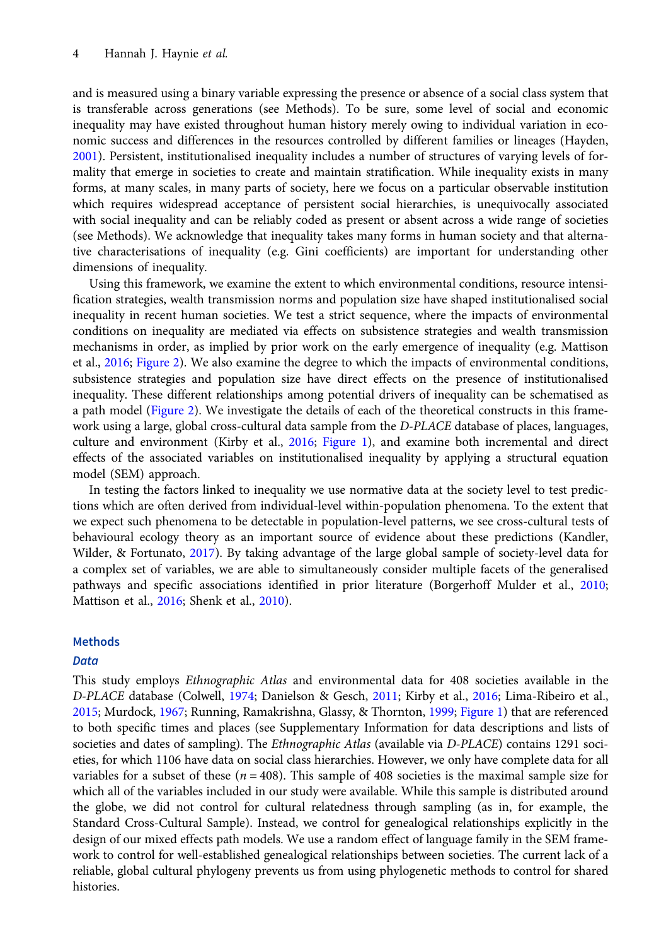and is measured using a binary variable expressing the presence or absence of a social class system that is transferable across generations (see Methods). To be sure, some level of social and economic inequality may have existed throughout human history merely owing to individual variation in economic success and differences in the resources controlled by different families or lineages (Hayden, [2001\)](#page-12-0). Persistent, institutionalised inequality includes a number of structures of varying levels of formality that emerge in societies to create and maintain stratification. While inequality exists in many forms, at many scales, in many parts of society, here we focus on a particular observable institution which requires widespread acceptance of persistent social hierarchies, is unequivocally associated with social inequality and can be reliably coded as present or absent across a wide range of societies (see Methods). We acknowledge that inequality takes many forms in human society and that alternative characterisations of inequality (e.g. Gini coefficients) are important for understanding other dimensions of inequality.

Using this framework, we examine the extent to which environmental conditions, resource intensification strategies, wealth transmission norms and population size have shaped institutionalised social inequality in recent human societies. We test a strict sequence, where the impacts of environmental conditions on inequality are mediated via effects on subsistence strategies and wealth transmission mechanisms in order, as implied by prior work on the early emergence of inequality (e.g. Mattison et al., [2016](#page-13-0); [Figure 2\)](#page-4-0). We also examine the degree to which the impacts of environmental conditions, subsistence strategies and population size have direct effects on the presence of institutionalised inequality. These different relationships among potential drivers of inequality can be schematised as a path model ([Figure 2\)](#page-4-0). We investigate the details of each of the theoretical constructs in this framework using a large, global cross-cultural data sample from the D-PLACE database of places, languages, culture and environment (Kirby et al., [2016;](#page-13-0) [Figure 1](#page-4-0)), and examine both incremental and direct effects of the associated variables on institutionalised inequality by applying a structural equation model (SEM) approach.

In testing the factors linked to inequality we use normative data at the society level to test predictions which are often derived from individual-level within-population phenomena. To the extent that we expect such phenomena to be detectable in population-level patterns, we see cross-cultural tests of behavioural ecology theory as an important source of evidence about these predictions (Kandler, Wilder, & Fortunato, [2017](#page-13-0)). By taking advantage of the large global sample of society-level data for a complex set of variables, we are able to simultaneously consider multiple facets of the generalised pathways and specific associations identified in prior literature (Borgerhoff Mulder et al., [2010;](#page-12-0) Mattison et al., [2016](#page-13-0); Shenk et al., [2010\)](#page-13-0).

## Methods

## **Data**

This study employs Ethnographic Atlas and environmental data for 408 societies available in the D-PLACE database (Colwell, [1974](#page-12-0); Danielson & Gesch, [2011;](#page-12-0) Kirby et al., [2016;](#page-13-0) Lima-Ribeiro et al., [2015;](#page-13-0) Murdock, [1967;](#page-13-0) Running, Ramakrishna, Glassy, & Thornton, [1999](#page-13-0); [Figure 1\)](#page-4-0) that are referenced to both specific times and places (see Supplementary Information for data descriptions and lists of societies and dates of sampling). The *Ethnographic Atlas* (available via *D-PLACE*) contains 1291 societies, for which 1106 have data on social class hierarchies. However, we only have complete data for all variables for a subset of these ( $n = 408$ ). This sample of 408 societies is the maximal sample size for which all of the variables included in our study were available. While this sample is distributed around the globe, we did not control for cultural relatedness through sampling (as in, for example, the Standard Cross-Cultural Sample). Instead, we control for genealogical relationships explicitly in the design of our mixed effects path models. We use a random effect of language family in the SEM framework to control for well-established genealogical relationships between societies. The current lack of a reliable, global cultural phylogeny prevents us from using phylogenetic methods to control for shared histories.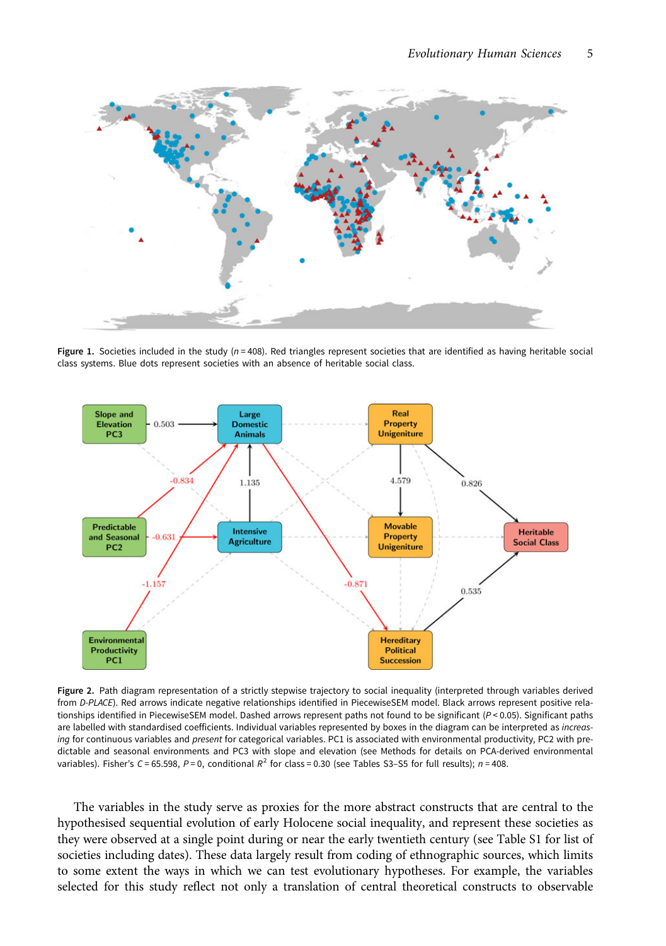<span id="page-4-0"></span>

Figure 1. Societies included in the study ( $n = 408$ ). Red triangles represent societies that are identified as having heritable social class systems. Blue dots represent societies with an absence of heritable social class.



Figure 2. Path diagram representation of a strictly stepwise trajectory to social inequality (interpreted through variables derived from D-PLACE). Red arrows indicate negative relationships identified in PiecewiseSEM model. Black arrows represent positive relationships identified in PiecewiseSEM model. Dashed arrows represent paths not found to be significant (P < 0.05). Significant paths are labelled with standardised coefficients. Individual variables represented by boxes in the diagram can be interpreted as increasing for continuous variables and present for categorical variables. PC1 is associated with environmental productivity, PC2 with predictable and seasonal environments and PC3 with slope and elevation (see Methods for details on PCA-derived environmental variables). Fisher's C = 65.598, P = 0, conditional  $R^2$  for class = 0.30 (see Tables S3-S5 for full results);  $n = 408$ .

The variables in the study serve as proxies for the more abstract constructs that are central to the hypothesised sequential evolution of early Holocene social inequality, and represent these societies as they were observed at a single point during or near the early twentieth century (see Table S1 for list of societies including dates). These data largely result from coding of ethnographic sources, which limits to some extent the ways in which we can test evolutionary hypotheses. For example, the variables selected for this study reflect not only a translation of central theoretical constructs to observable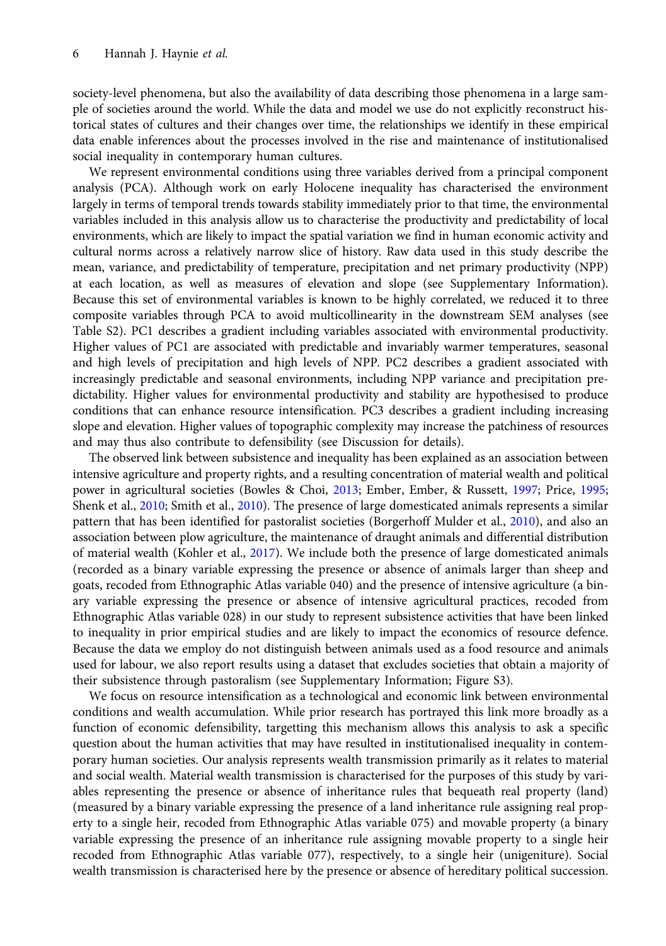society-level phenomena, but also the availability of data describing those phenomena in a large sample of societies around the world. While the data and model we use do not explicitly reconstruct historical states of cultures and their changes over time, the relationships we identify in these empirical data enable inferences about the processes involved in the rise and maintenance of institutionalised social inequality in contemporary human cultures.

We represent environmental conditions using three variables derived from a principal component analysis (PCA). Although work on early Holocene inequality has characterised the environment largely in terms of temporal trends towards stability immediately prior to that time, the environmental variables included in this analysis allow us to characterise the productivity and predictability of local environments, which are likely to impact the spatial variation we find in human economic activity and cultural norms across a relatively narrow slice of history. Raw data used in this study describe the mean, variance, and predictability of temperature, precipitation and net primary productivity (NPP) at each location, as well as measures of elevation and slope (see Supplementary Information). Because this set of environmental variables is known to be highly correlated, we reduced it to three composite variables through PCA to avoid multicollinearity in the downstream SEM analyses (see Table S2). PC1 describes a gradient including variables associated with environmental productivity. Higher values of PC1 are associated with predictable and invariably warmer temperatures, seasonal and high levels of precipitation and high levels of NPP. PC2 describes a gradient associated with increasingly predictable and seasonal environments, including NPP variance and precipitation predictability. Higher values for environmental productivity and stability are hypothesised to produce conditions that can enhance resource intensification. PC3 describes a gradient including increasing slope and elevation. Higher values of topographic complexity may increase the patchiness of resources and may thus also contribute to defensibility (see Discussion for details).

The observed link between subsistence and inequality has been explained as an association between intensive agriculture and property rights, and a resulting concentration of material wealth and political power in agricultural societies (Bowles & Choi, [2013;](#page-12-0) Ember, Ember, & Russett, [1997](#page-12-0); Price, [1995;](#page-13-0) Shenk et al., [2010](#page-13-0); Smith et al., [2010\)](#page-13-0). The presence of large domesticated animals represents a similar pattern that has been identified for pastoralist societies (Borgerhoff Mulder et al., [2010\)](#page-12-0), and also an association between plow agriculture, the maintenance of draught animals and differential distribution of material wealth (Kohler et al., [2017\)](#page-13-0). We include both the presence of large domesticated animals (recorded as a binary variable expressing the presence or absence of animals larger than sheep and goats, recoded from Ethnographic Atlas variable 040) and the presence of intensive agriculture (a binary variable expressing the presence or absence of intensive agricultural practices, recoded from Ethnographic Atlas variable 028) in our study to represent subsistence activities that have been linked to inequality in prior empirical studies and are likely to impact the economics of resource defence. Because the data we employ do not distinguish between animals used as a food resource and animals used for labour, we also report results using a dataset that excludes societies that obtain a majority of their subsistence through pastoralism (see Supplementary Information; Figure S3).

We focus on resource intensification as a technological and economic link between environmental conditions and wealth accumulation. While prior research has portrayed this link more broadly as a function of economic defensibility, targetting this mechanism allows this analysis to ask a specific question about the human activities that may have resulted in institutionalised inequality in contemporary human societies. Our analysis represents wealth transmission primarily as it relates to material and social wealth. Material wealth transmission is characterised for the purposes of this study by variables representing the presence or absence of inheritance rules that bequeath real property (land) (measured by a binary variable expressing the presence of a land inheritance rule assigning real property to a single heir, recoded from Ethnographic Atlas variable 075) and movable property (a binary variable expressing the presence of an inheritance rule assigning movable property to a single heir recoded from Ethnographic Atlas variable 077), respectively, to a single heir (unigeniture). Social wealth transmission is characterised here by the presence or absence of hereditary political succession.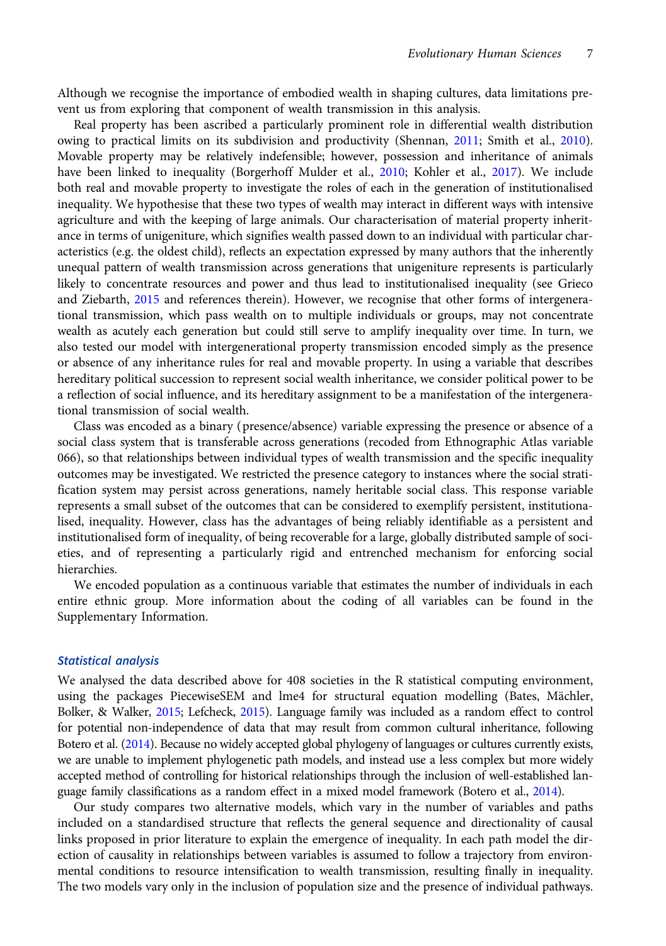Although we recognise the importance of embodied wealth in shaping cultures, data limitations prevent us from exploring that component of wealth transmission in this analysis.

Real property has been ascribed a particularly prominent role in differential wealth distribution owing to practical limits on its subdivision and productivity (Shennan, [2011;](#page-13-0) Smith et al., [2010\)](#page-13-0). Movable property may be relatively indefensible; however, possession and inheritance of animals have been linked to inequality (Borgerhoff Mulder et al., [2010;](#page-12-0) Kohler et al., [2017](#page-13-0)). We include both real and movable property to investigate the roles of each in the generation of institutionalised inequality. We hypothesise that these two types of wealth may interact in different ways with intensive agriculture and with the keeping of large animals. Our characterisation of material property inheritance in terms of unigeniture, which signifies wealth passed down to an individual with particular characteristics (e.g. the oldest child), reflects an expectation expressed by many authors that the inherently unequal pattern of wealth transmission across generations that unigeniture represents is particularly likely to concentrate resources and power and thus lead to institutionalised inequality (see Grieco and Ziebarth, [2015](#page-12-0) and references therein). However, we recognise that other forms of intergenerational transmission, which pass wealth on to multiple individuals or groups, may not concentrate wealth as acutely each generation but could still serve to amplify inequality over time. In turn, we also tested our model with intergenerational property transmission encoded simply as the presence or absence of any inheritance rules for real and movable property. In using a variable that describes hereditary political succession to represent social wealth inheritance, we consider political power to be a reflection of social influence, and its hereditary assignment to be a manifestation of the intergenerational transmission of social wealth.

Class was encoded as a binary (presence/absence) variable expressing the presence or absence of a social class system that is transferable across generations (recoded from Ethnographic Atlas variable 066), so that relationships between individual types of wealth transmission and the specific inequality outcomes may be investigated. We restricted the presence category to instances where the social stratification system may persist across generations, namely heritable social class. This response variable represents a small subset of the outcomes that can be considered to exemplify persistent, institutionalised, inequality. However, class has the advantages of being reliably identifiable as a persistent and institutionalised form of inequality, of being recoverable for a large, globally distributed sample of societies, and of representing a particularly rigid and entrenched mechanism for enforcing social hierarchies.

We encoded population as a continuous variable that estimates the number of individuals in each entire ethnic group. More information about the coding of all variables can be found in the Supplementary Information.

#### Statistical analysis

We analysed the data described above for 408 societies in the R statistical computing environment, using the packages PiecewiseSEM and lme4 for structural equation modelling (Bates, Mächler, Bolker, & Walker, [2015;](#page-12-0) Lefcheck, [2015](#page-13-0)). Language family was included as a random effect to control for potential non-independence of data that may result from common cultural inheritance, following Botero et al. [\(2014](#page-12-0)). Because no widely accepted global phylogeny of languages or cultures currently exists, we are unable to implement phylogenetic path models, and instead use a less complex but more widely accepted method of controlling for historical relationships through the inclusion of well-established language family classifications as a random effect in a mixed model framework (Botero et al., [2014\)](#page-12-0).

Our study compares two alternative models, which vary in the number of variables and paths included on a standardised structure that reflects the general sequence and directionality of causal links proposed in prior literature to explain the emergence of inequality. In each path model the direction of causality in relationships between variables is assumed to follow a trajectory from environmental conditions to resource intensification to wealth transmission, resulting finally in inequality. The two models vary only in the inclusion of population size and the presence of individual pathways.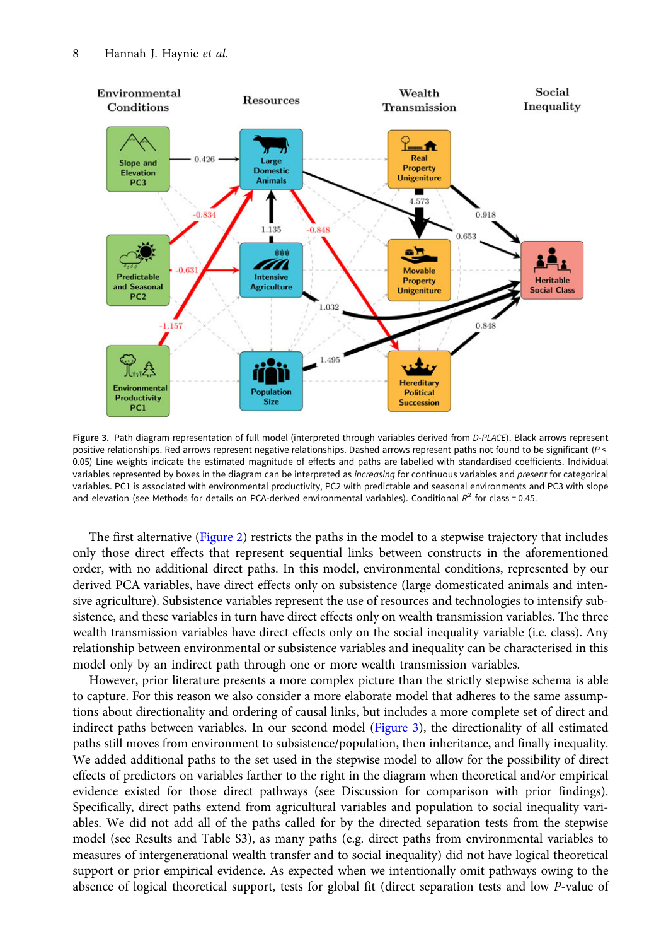<span id="page-7-0"></span>

Figure 3. Path diagram representation of full model (interpreted through variables derived from D-PLACE). Black arrows represent positive relationships. Red arrows represent negative relationships. Dashed arrows represent paths not found to be significant (P <<br>0.05) Line weights indicate the estimated magnitude of effects and paths are labelled with 0.05) Line weights indicate the estimated magnitude of effects and paths are labelled with standardised coefficients. Individual variables represented by boxes in the diagram can be interpreted as increasing for continuous variables represented by boxes in the diagram can be interpreted as *increɑsing* for continuous variables and *present* for categorical<br>variables. PC1 is associated with environmental productivity, PC2 with predictable and and elevation (see Methods for details on PCA-derived environmental variables). Conditional  $R^2$  for class = 0.45.

The first alternative ([Figure 2\)](#page-4-0) restricts the paths in the model to a stepwise trajectory that includes only those direct effects that represent sequential links between constructs in the aforementioned order, with no additional direct paths. In this model, environmental conditions, represented by our derived PCA variables, have direct effects only on subsistence (large domesticated animals and intensive agriculture). Subsistence variables represent the use of resources and technologies to intensify subsistence, and these variables in turn have direct effects only on wealth transmission variables. The three wealth transmission variables have direct effects only on the social inequality variable (i.e. class). Any relationship between environmental or subsistence variables and inequality can be characterised in this model only by an indirect path through one or more wealth transmission variables.

However, prior literature presents a more complex picture than the strictly stepwise schema is able to capture. For this reason we also consider a more elaborate model that adheres to the same assumptions about directionality and ordering of causal links, but includes a more complete set of direct and indirect paths between variables. In our second model (Figure 3), the directionality of all estimated paths still moves from environment to subsistence/population, then inheritance, and finally inequality. We added additional paths to the set used in the stepwise model to allow for the possibility of direct effects of predictors on variables farther to the right in the diagram when theoretical and/or empirical evidence existed for those direct pathways (see Discussion for comparison with prior findings). Specifically, direct paths extend from agricultural variables and population to social inequality variables. We did not add all of the paths called for by the directed separation tests from the stepwise model (see Results and Table S3), as many paths (e.g. direct paths from environmental variables to measures of intergenerational wealth transfer and to social inequality) did not have logical theoretical support or prior empirical evidence. As expected when we intentionally omit pathways owing to the absence of logical theoretical support, tests for global fit (direct separation tests and low P-value of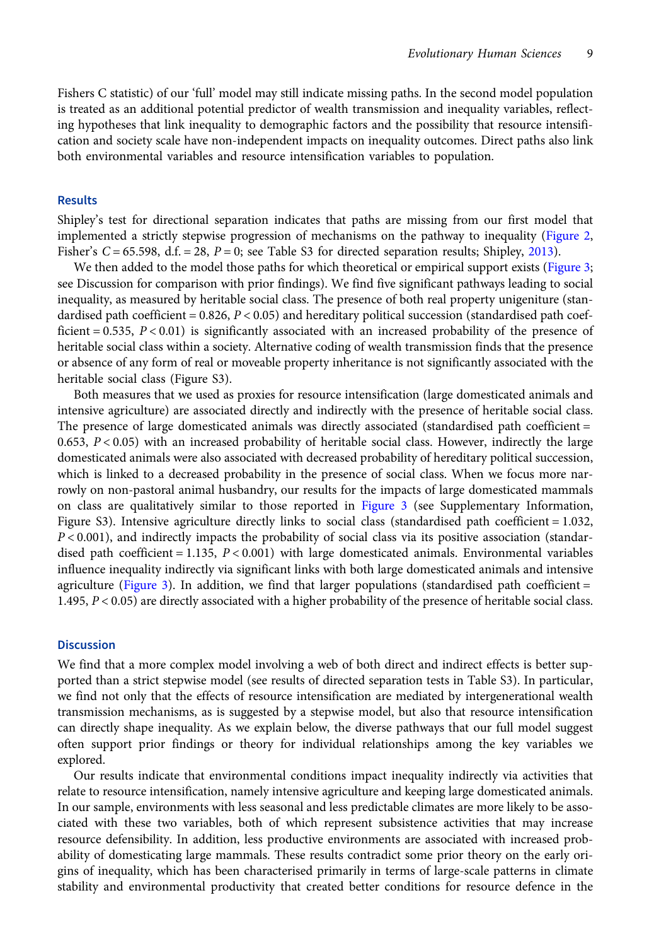Fishers C statistic) of our 'full' model may still indicate missing paths. In the second model population is treated as an additional potential predictor of wealth transmission and inequality variables, reflecting hypotheses that link inequality to demographic factors and the possibility that resource intensification and society scale have non-independent impacts on inequality outcomes. Direct paths also link both environmental variables and resource intensification variables to population.

#### **Results**

Shipley's test for directional separation indicates that paths are missing from our first model that implemented a strictly stepwise progression of mechanisms on the pathway to inequality [\(Figure 2](#page-4-0), Fisher's  $C = 65.598$ , d.f. = 28,  $P = 0$ ; see Table S3 for directed separation results; Shipley, [2013](#page-13-0)).

We then added to the model those paths for which theoretical or empirical support exists ([Figure 3](#page-7-0); see Discussion for comparison with prior findings). We find five significant pathways leading to social inequality, as measured by heritable social class. The presence of both real property unigeniture (standardised path coefficient =  $0.826$ ,  $P < 0.05$ ) and hereditary political succession (standardised path coefficient  $= 0.535$ ,  $P < 0.01$ ) is significantly associated with an increased probability of the presence of heritable social class within a society. Alternative coding of wealth transmission finds that the presence or absence of any form of real or moveable property inheritance is not significantly associated with the heritable social class (Figure S3).

Both measures that we used as proxies for resource intensification (large domesticated animals and intensive agriculture) are associated directly and indirectly with the presence of heritable social class. The presence of large domesticated animals was directly associated (standardised path coefficient = 0.653,  $P < 0.05$ ) with an increased probability of heritable social class. However, indirectly the large domesticated animals were also associated with decreased probability of hereditary political succession, which is linked to a decreased probability in the presence of social class. When we focus more narrowly on non-pastoral animal husbandry, our results for the impacts of large domesticated mammals on class are qualitatively similar to those reported in [Figure 3](#page-7-0) (see Supplementary Information, Figure S3). Intensive agriculture directly links to social class (standardised path coefficient = 1.032,  $P < 0.001$ ), and indirectly impacts the probability of social class via its positive association (standardised path coefficient  $= 1.135$ ,  $P < 0.001$ ) with large domesticated animals. Environmental variables influence inequality indirectly via significant links with both large domesticated animals and intensive agriculture ([Figure 3](#page-7-0)). In addition, we find that larger populations (standardised path coefficient  $=$ 1.495, P < 0.05) are directly associated with a higher probability of the presence of heritable social class.

#### **Discussion**

We find that a more complex model involving a web of both direct and indirect effects is better supported than a strict stepwise model (see results of directed separation tests in Table S3). In particular, we find not only that the effects of resource intensification are mediated by intergenerational wealth transmission mechanisms, as is suggested by a stepwise model, but also that resource intensification can directly shape inequality. As we explain below, the diverse pathways that our full model suggest often support prior findings or theory for individual relationships among the key variables we explored.

Our results indicate that environmental conditions impact inequality indirectly via activities that relate to resource intensification, namely intensive agriculture and keeping large domesticated animals. In our sample, environments with less seasonal and less predictable climates are more likely to be associated with these two variables, both of which represent subsistence activities that may increase resource defensibility. In addition, less productive environments are associated with increased probability of domesticating large mammals. These results contradict some prior theory on the early origins of inequality, which has been characterised primarily in terms of large-scale patterns in climate stability and environmental productivity that created better conditions for resource defence in the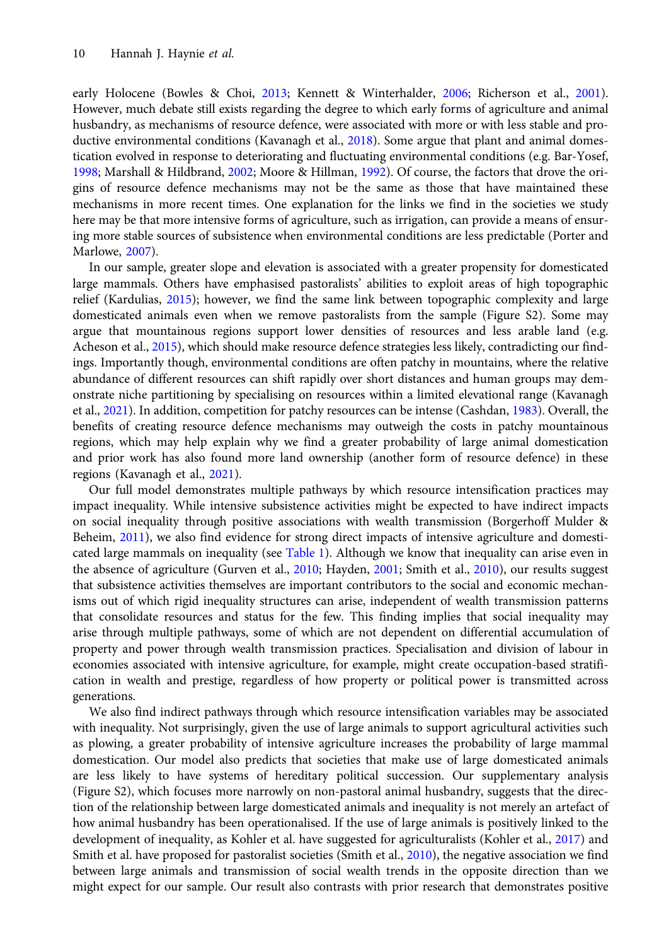early Holocene (Bowles & Choi, [2013;](#page-12-0) Kennett & Winterhalder, [2006;](#page-13-0) Richerson et al., [2001](#page-13-0)). However, much debate still exists regarding the degree to which early forms of agriculture and animal husbandry, as mechanisms of resource defence, were associated with more or with less stable and pro-ductive environmental conditions (Kavanagh et al., [2018](#page-13-0)). Some argue that plant and animal domestication evolved in response to deteriorating and fluctuating environmental conditions (e.g. Bar-Yosef, [1998;](#page-12-0) Marshall & Hildbrand, [2002;](#page-13-0) Moore & Hillman, [1992\)](#page-13-0). Of course, the factors that drove the origins of resource defence mechanisms may not be the same as those that have maintained these mechanisms in more recent times. One explanation for the links we find in the societies we study here may be that more intensive forms of agriculture, such as irrigation, can provide a means of ensuring more stable sources of subsistence when environmental conditions are less predictable (Porter and Marlowe, [2007](#page-13-0)).

In our sample, greater slope and elevation is associated with a greater propensity for domesticated large mammals. Others have emphasised pastoralists' abilities to exploit areas of high topographic relief (Kardulias, [2015](#page-13-0)); however, we find the same link between topographic complexity and large domesticated animals even when we remove pastoralists from the sample (Figure S2). Some may argue that mountainous regions support lower densities of resources and less arable land (e.g. Acheson et al., [2015](#page-12-0)), which should make resource defence strategies less likely, contradicting our findings. Importantly though, environmental conditions are often patchy in mountains, where the relative abundance of different resources can shift rapidly over short distances and human groups may demonstrate niche partitioning by specialising on resources within a limited elevational range (Kavanagh et al., [2021](#page-13-0)). In addition, competition for patchy resources can be intense (Cashdan, [1983](#page-12-0)). Overall, the benefits of creating resource defence mechanisms may outweigh the costs in patchy mountainous regions, which may help explain why we find a greater probability of large animal domestication and prior work has also found more land ownership (another form of resource defence) in these regions (Kavanagh et al., [2021\)](#page-13-0).

Our full model demonstrates multiple pathways by which resource intensification practices may impact inequality. While intensive subsistence activities might be expected to have indirect impacts on social inequality through positive associations with wealth transmission (Borgerhoff Mulder & Beheim, [2011](#page-12-0)), we also find evidence for strong direct impacts of intensive agriculture and domesti-cated large mammals on inequality (see [Table 1\)](#page-10-0). Although we know that inequality can arise even in the absence of agriculture (Gurven et al., [2010](#page-12-0); Hayden, [2001;](#page-12-0) Smith et al., [2010\)](#page-13-0), our results suggest that subsistence activities themselves are important contributors to the social and economic mechanisms out of which rigid inequality structures can arise, independent of wealth transmission patterns that consolidate resources and status for the few. This finding implies that social inequality may arise through multiple pathways, some of which are not dependent on differential accumulation of property and power through wealth transmission practices. Specialisation and division of labour in economies associated with intensive agriculture, for example, might create occupation-based stratification in wealth and prestige, regardless of how property or political power is transmitted across generations.

We also find indirect pathways through which resource intensification variables may be associated with inequality. Not surprisingly, given the use of large animals to support agricultural activities such as plowing, a greater probability of intensive agriculture increases the probability of large mammal domestication. Our model also predicts that societies that make use of large domesticated animals are less likely to have systems of hereditary political succession. Our supplementary analysis (Figure S2), which focuses more narrowly on non-pastoral animal husbandry, suggests that the direction of the relationship between large domesticated animals and inequality is not merely an artefact of how animal husbandry has been operationalised. If the use of large animals is positively linked to the development of inequality, as Kohler et al. have suggested for agriculturalists (Kohler et al., [2017\)](#page-13-0) and Smith et al. have proposed for pastoralist societies (Smith et al., [2010](#page-13-0)), the negative association we find between large animals and transmission of social wealth trends in the opposite direction than we might expect for our sample. Our result also contrasts with prior research that demonstrates positive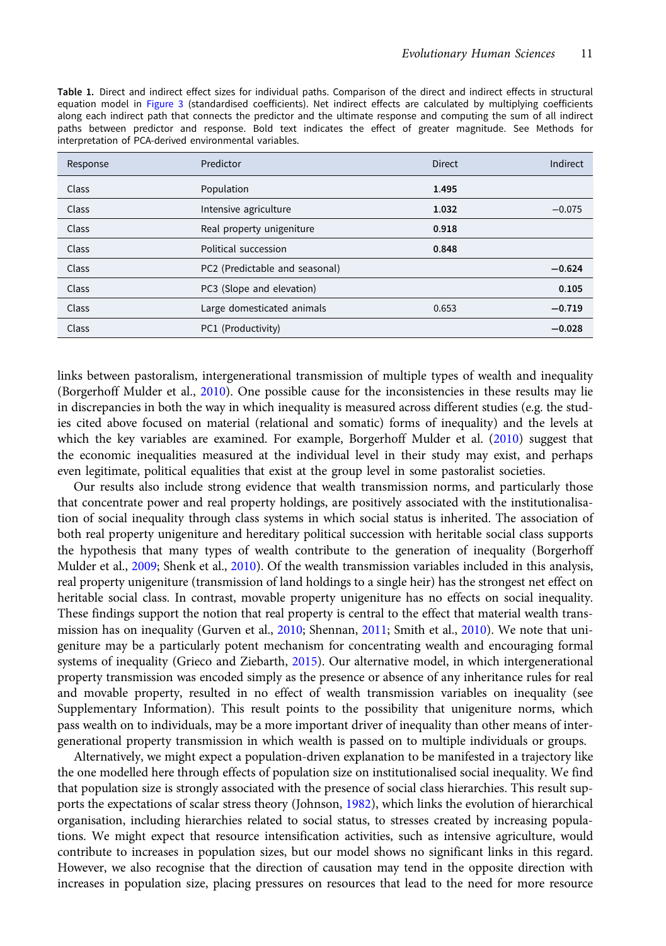<span id="page-10-0"></span>

|  | Table 1. Direct and indirect effect sizes for individual paths. Comparison of the direct and indirect effects in structural |  |  |  |  |  |  |
|--|-----------------------------------------------------------------------------------------------------------------------------|--|--|--|--|--|--|
|  | equation model in Figure 3 (standardised coefficients). Net indirect effects are calculated by multiplying coefficients     |  |  |  |  |  |  |
|  | along each indirect path that connects the predictor and the ultimate response and computing the sum of all indirect        |  |  |  |  |  |  |
|  | paths between predictor and response. Bold text indicates the effect of greater magnitude. See Methods for                  |  |  |  |  |  |  |
|  | interpretation of PCA-derived environmental variables.                                                                      |  |  |  |  |  |  |

| Response | Predictor                      | <b>Direct</b> | Indirect |
|----------|--------------------------------|---------------|----------|
| Class    | Population                     | 1.495         |          |
| Class    | Intensive agriculture          | 1.032         | $-0.075$ |
| Class    | Real property unigeniture      | 0.918         |          |
| Class    | Political succession           | 0.848         |          |
| Class    | PC2 (Predictable and seasonal) |               | $-0.624$ |
| Class    | PC3 (Slope and elevation)      |               | 0.105    |
| Class    | Large domesticated animals     | 0.653         | $-0.719$ |
| Class    | PC1 (Productivity)             |               | $-0.028$ |

links between pastoralism, intergenerational transmission of multiple types of wealth and inequality (Borgerhoff Mulder et al., [2010](#page-12-0)). One possible cause for the inconsistencies in these results may lie in discrepancies in both the way in which inequality is measured across different studies (e.g. the studies cited above focused on material (relational and somatic) forms of inequality) and the levels at which the key variables are examined. For example, Borgerhoff Mulder et al. ([2010](#page-12-0)) suggest that the economic inequalities measured at the individual level in their study may exist, and perhaps even legitimate, political equalities that exist at the group level in some pastoralist societies.

Our results also include strong evidence that wealth transmission norms, and particularly those that concentrate power and real property holdings, are positively associated with the institutionalisation of social inequality through class systems in which social status is inherited. The association of both real property unigeniture and hereditary political succession with heritable social class supports the hypothesis that many types of wealth contribute to the generation of inequality (Borgerhoff Mulder et al., [2009](#page-12-0); Shenk et al., [2010\)](#page-13-0). Of the wealth transmission variables included in this analysis, real property unigeniture (transmission of land holdings to a single heir) has the strongest net effect on heritable social class. In contrast, movable property unigeniture has no effects on social inequality. These findings support the notion that real property is central to the effect that material wealth trans-mission has on inequality (Gurven et al., [2010](#page-13-0); Shennan, [2011;](#page-13-0) Smith et al., 2010). We note that unigeniture may be a particularly potent mechanism for concentrating wealth and encouraging formal systems of inequality (Grieco and Ziebarth, [2015](#page-12-0)). Our alternative model, in which intergenerational property transmission was encoded simply as the presence or absence of any inheritance rules for real and movable property, resulted in no effect of wealth transmission variables on inequality (see Supplementary Information). This result points to the possibility that unigeniture norms, which pass wealth on to individuals, may be a more important driver of inequality than other means of intergenerational property transmission in which wealth is passed on to multiple individuals or groups.

Alternatively, we might expect a population-driven explanation to be manifested in a trajectory like the one modelled here through effects of population size on institutionalised social inequality. We find that population size is strongly associated with the presence of social class hierarchies. This result supports the expectations of scalar stress theory (Johnson, [1982\)](#page-12-0), which links the evolution of hierarchical organisation, including hierarchies related to social status, to stresses created by increasing populations. We might expect that resource intensification activities, such as intensive agriculture, would contribute to increases in population sizes, but our model shows no significant links in this regard. However, we also recognise that the direction of causation may tend in the opposite direction with increases in population size, placing pressures on resources that lead to the need for more resource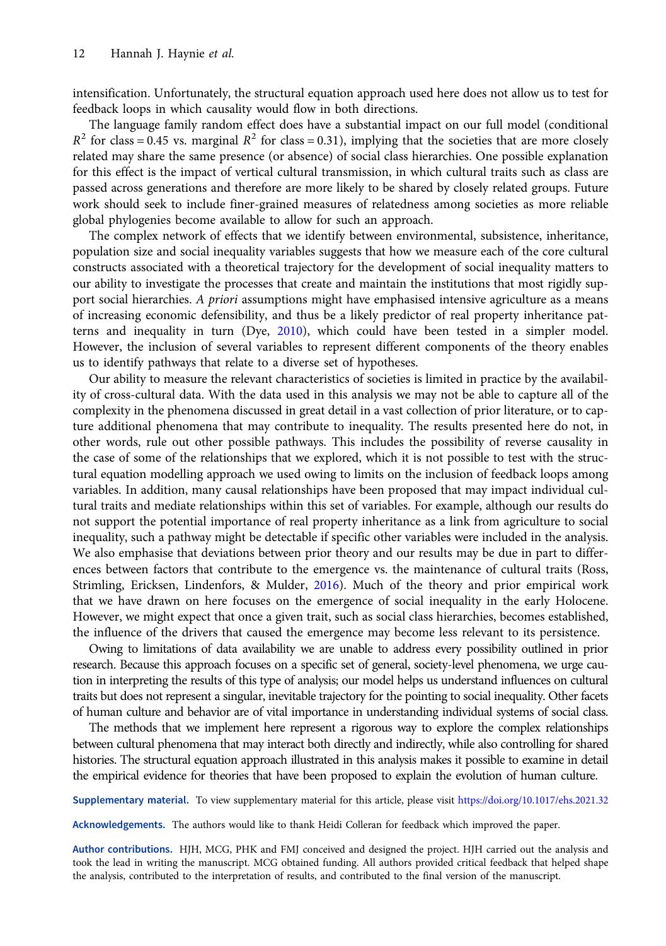intensification. Unfortunately, the structural equation approach used here does not allow us to test for feedback loops in which causality would flow in both directions.

The language family random effect does have a substantial impact on our full model (conditional  $R^2$  for class = 0.45 vs. marginal  $R^2$  for class = 0.31), implying that the societies that are more closely related may share the same presence (or absence) of social class hierarchies. One possible explanation for this effect is the impact of vertical cultural transmission, in which cultural traits such as class are passed across generations and therefore are more likely to be shared by closely related groups. Future work should seek to include finer-grained measures of relatedness among societies as more reliable global phylogenies become available to allow for such an approach.

The complex network of effects that we identify between environmental, subsistence, inheritance, population size and social inequality variables suggests that how we measure each of the core cultural constructs associated with a theoretical trajectory for the development of social inequality matters to our ability to investigate the processes that create and maintain the institutions that most rigidly support social hierarchies. A priori assumptions might have emphasised intensive agriculture as a means of increasing economic defensibility, and thus be a likely predictor of real property inheritance patterns and inequality in turn (Dye, [2010](#page-12-0)), which could have been tested in a simpler model. However, the inclusion of several variables to represent different components of the theory enables us to identify pathways that relate to a diverse set of hypotheses.

Our ability to measure the relevant characteristics of societies is limited in practice by the availability of cross-cultural data. With the data used in this analysis we may not be able to capture all of the complexity in the phenomena discussed in great detail in a vast collection of prior literature, or to capture additional phenomena that may contribute to inequality. The results presented here do not, in other words, rule out other possible pathways. This includes the possibility of reverse causality in the case of some of the relationships that we explored, which it is not possible to test with the structural equation modelling approach we used owing to limits on the inclusion of feedback loops among variables. In addition, many causal relationships have been proposed that may impact individual cultural traits and mediate relationships within this set of variables. For example, although our results do not support the potential importance of real property inheritance as a link from agriculture to social inequality, such a pathway might be detectable if specific other variables were included in the analysis. We also emphasise that deviations between prior theory and our results may be due in part to differences between factors that contribute to the emergence vs. the maintenance of cultural traits (Ross, Strimling, Ericksen, Lindenfors, & Mulder, [2016](#page-13-0)). Much of the theory and prior empirical work that we have drawn on here focuses on the emergence of social inequality in the early Holocene. However, we might expect that once a given trait, such as social class hierarchies, becomes established, the influence of the drivers that caused the emergence may become less relevant to its persistence.

Owing to limitations of data availability we are unable to address every possibility outlined in prior research. Because this approach focuses on a specific set of general, society-level phenomena, we urge caution in interpreting the results of this type of analysis; our model helps us understand influences on cultural traits but does not represent a singular, inevitable trajectory for the pointing to social inequality. Other facets of human culture and behavior are of vital importance in understanding individual systems of social class.

The methods that we implement here represent a rigorous way to explore the complex relationships between cultural phenomena that may interact both directly and indirectly, while also controlling for shared histories. The structural equation approach illustrated in this analysis makes it possible to examine in detail the empirical evidence for theories that have been proposed to explain the evolution of human culture.

Supplementary material. To view supplementary material for this article, please visit <https://doi.org/10.1017/ehs.2021.32>

Acknowledgements. The authors would like to thank Heidi Colleran for feedback which improved the paper.

Author contributions. HJH, MCG, PHK and FMJ conceived and designed the project. HJH carried out the analysis and took the lead in writing the manuscript. MCG obtained funding. All authors provided critical feedback that helped shape the analysis, contributed to the interpretation of results, and contributed to the final version of the manuscript.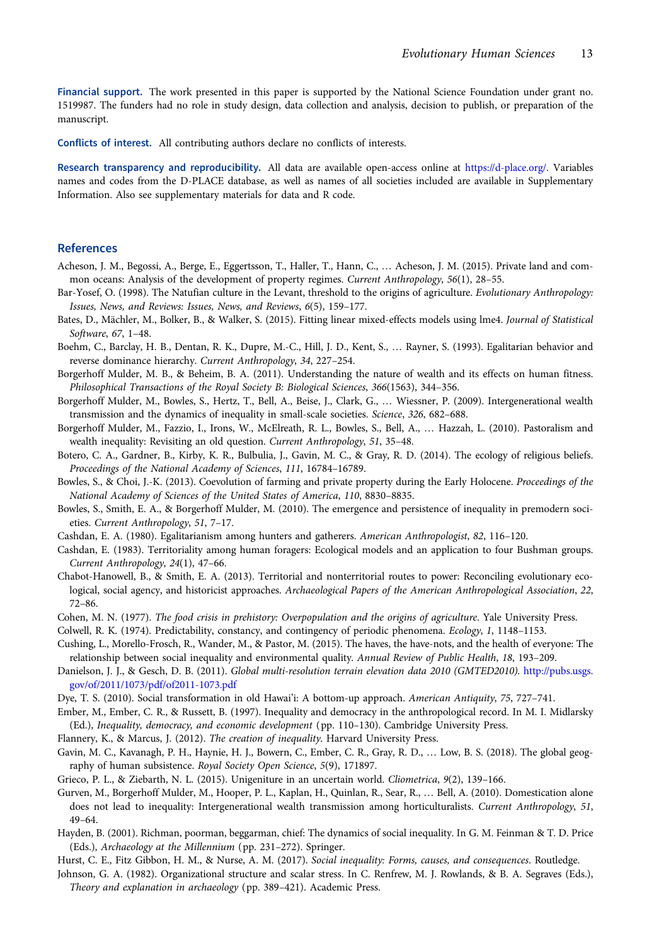<span id="page-12-0"></span>Financial support. The work presented in this paper is supported by the National Science Foundation under grant no. 1519987. The funders had no role in study design, data collection and analysis, decision to publish, or preparation of the manuscript.

Conflicts of interest. All contributing authors declare no conflicts of interests.

Research transparency and reproducibility. All data are available open-access online at [https://d-place.org/.](https://d-place.org/) Variables names and codes from the D-PLACE database, as well as names of all societies included are available in Supplementary Information. Also see supplementary materials for data and R code.

#### References

- Acheson, J. M., Begossi, A., Berge, E., Eggertsson, T., Haller, T., Hann, C., … Acheson, J. M. (2015). Private land and common oceans: Analysis of the development of property regimes. Current Anthropology, 56(1), 28–55.
- Bar-Yosef, O. (1998). The Natufian culture in the Levant, threshold to the origins of agriculture. Evolutionary Anthropology: Issues, News, and Reviews: Issues, News, and Reviews, 6(5), 159–177.
- Bates, D., Mächler, M., Bolker, B., & Walker, S. (2015). Fitting linear mixed-effects models using lme4. Journal of Statistical Software, 67, 1–48.
- Boehm, C., Barclay, H. B., Dentan, R. K., Dupre, M.-C., Hill, J. D., Kent, S., … Rayner, S. (1993). Egalitarian behavior and reverse dominance hierarchy. Current Anthropology, 34, 227–254.
- Borgerhoff Mulder, M. B., & Beheim, B. A. (2011). Understanding the nature of wealth and its effects on human fitness. Philosophical Transactions of the Royal Society B: Biological Sciences, 366(1563), 344–356.
- Borgerhoff Mulder, M., Bowles, S., Hertz, T., Bell, A., Beise, J., Clark, G., … Wiessner, P. (2009). Intergenerational wealth transmission and the dynamics of inequality in small-scale societies. Science, 326, 682–688.
- Borgerhoff Mulder, M., Fazzio, I., Irons, W., McElreath, R. L., Bowles, S., Bell, A., … Hazzah, L. (2010). Pastoralism and wealth inequality: Revisiting an old question. Current Anthropology, 51, 35–48.
- Botero, C. A., Gardner, B., Kirby, K. R., Bulbulia, J., Gavin, M. C., & Gray, R. D. (2014). The ecology of religious beliefs. Proceedings of the National Academy of Sciences, 111, 16784–16789.
- Bowles, S., & Choi, J.-K. (2013). Coevolution of farming and private property during the Early Holocene. Proceedings of the National Academy of Sciences of the United States of America, 110, 8830–8835.
- Bowles, S., Smith, E. A., & Borgerhoff Mulder, M. (2010). The emergence and persistence of inequality in premodern societies. Current Anthropology, 51, 7–17.
- Cashdan, E. A. (1980). Egalitarianism among hunters and gatherers. American Anthropologist, 82, 116–120.
- Cashdan, E. (1983). Territoriality among human foragers: Ecological models and an application to four Bushman groups. Current Anthropology, 24(1), 47–66.
- Chabot-Hanowell, B., & Smith, E. A. (2013). Territorial and nonterritorial routes to power: Reconciling evolutionary ecological, social agency, and historicist approaches. Archaeological Papers of the American Anthropological Association, 22, 72–86.
- Cohen, M. N. (1977). The food crisis in prehistory: Overpopulation and the origins of agriculture. Yale University Press.
- Colwell, R. K. (1974). Predictability, constancy, and contingency of periodic phenomena. Ecology, 1, 1148–1153.
- Cushing, L., Morello-Frosch, R., Wander, M., & Pastor, M. (2015). The haves, the have-nots, and the health of everyone: The relationship between social inequality and environmental quality. Annual Review of Public Health, 18, 193–209.
- Danielson, J. J., & Gesch, D. B. (2011). Global multi-resolution terrain elevation data 2010 (GMTED2010). [http://pubs.usgs.](http://pubs.usgs.gov/of/2011/1073/pdf/of2011-1073.pdf) [gov/of/2011/1073/pdf/of2011-1073.pdf](http://pubs.usgs.gov/of/2011/1073/pdf/of2011-1073.pdf)
- Dye, T. S. (2010). Social transformation in old Hawai'i: A bottom-up approach. American Antiquity, 75, 727–741.
- Ember, M., Ember, C. R., & Russett, B. (1997). Inequality and democracy in the anthropological record. In M. I. Midlarsky (Ed.), Inequality, democracy, and economic development (pp. 110–130). Cambridge University Press.
- Flannery, K., & Marcus, J. (2012). The creation of inequality. Harvard University Press.
- Gavin, M. C., Kavanagh, P. H., Haynie, H. J., Bowern, C., Ember, C. R., Gray, R. D., … Low, B. S. (2018). The global geography of human subsistence. Royal Society Open Science, 5(9), 171897.
- Grieco, P. L., & Ziebarth, N. L. (2015). Unigeniture in an uncertain world. Cliometrica, 9(2), 139–166.
- Gurven, M., Borgerhoff Mulder, M., Hooper, P. L., Kaplan, H., Quinlan, R., Sear, R., … Bell, A. (2010). Domestication alone does not lead to inequality: Intergenerational wealth transmission among horticulturalists. Current Anthropology, 51, 49–64.
- Hayden, B. (2001). Richman, poorman, beggarman, chief: The dynamics of social inequality. In G. M. Feinman & T. D. Price (Eds.), Archaeology at the Millennium (pp. 231–272). Springer.
- Hurst, C. E., Fitz Gibbon, H. M., & Nurse, A. M. (2017). Social inequality: Forms, causes, and consequences. Routledge.
- Johnson, G. A. (1982). Organizational structure and scalar stress. In C. Renfrew, M. J. Rowlands, & B. A. Segraves (Eds.), Theory and explanation in archaeology (pp. 389–421). Academic Press.